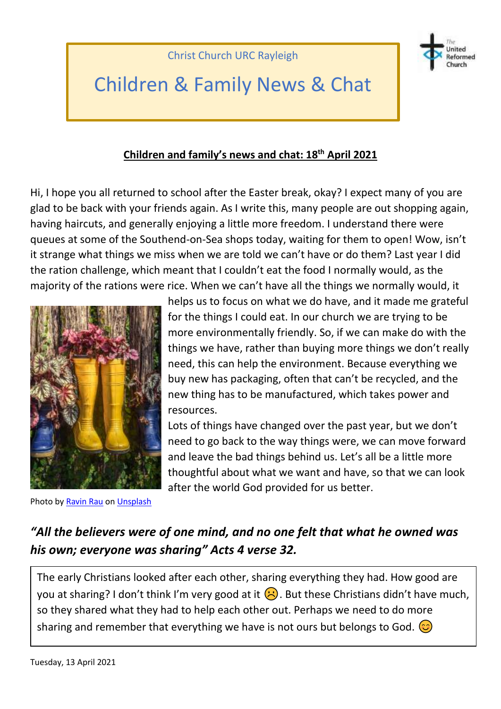

# Children & Family News & Chat

#### **Children and family's news and chat: 18 th April 2021**

Hi, I hope you all returned to school after the Easter break, okay? I expect many of you are glad to be back with your friends again. As I write this, many people are out shopping again, having haircuts, and generally enjoying a little more freedom. I understand there were queues at some of the Southend-on-Sea shops today, waiting for them to open! Wow, isn't it strange what things we miss when we are told we can't have or do them? Last year I did the ration challenge, which meant that I couldn't eat the food I normally would, as the majority of the rations were rice. When we can't have all the things we normally would, it



helps us to focus on what we do have, and it made me grateful for the things I could eat. In our church we are trying to be more environmentally friendly. So, if we can make do with the things we have, rather than buying more things we don't really need, this can help the environment. Because everything we buy new has packaging, often that can't be recycled, and the new thing has to be manufactured, which takes power and resources.

Lots of things have changed over the past year, but we don't need to go back to the way things were, we can move forward and leave the bad things behind us. Let's all be a little more thoughtful about what we want and have, so that we can look after the world God provided for us better.

Photo b[y Ravin Rau](https://unsplash.com/@ravinrau?utm_source=unsplash&utm_medium=referral&utm_content=creditCopyText) on [Unsplash](https://unsplash.com/s/photos/recycle?utm_source=unsplash&utm_medium=referral&utm_content=creditCopyText)

#### *"All the believers were of one mind, and no one felt that what he owned was his own; everyone was sharing" Acts 4 verse 32.*

The early Christians looked after each other, sharing everything they had. How good are you at sharing? I don't think I'm very good at it  $\ddot{\odot}$ . But these Christians didn't have much, so they shared what they had to help each other out. Perhaps we need to do more sharing and remember that everything we have is not ours but belongs to God.  $\odot$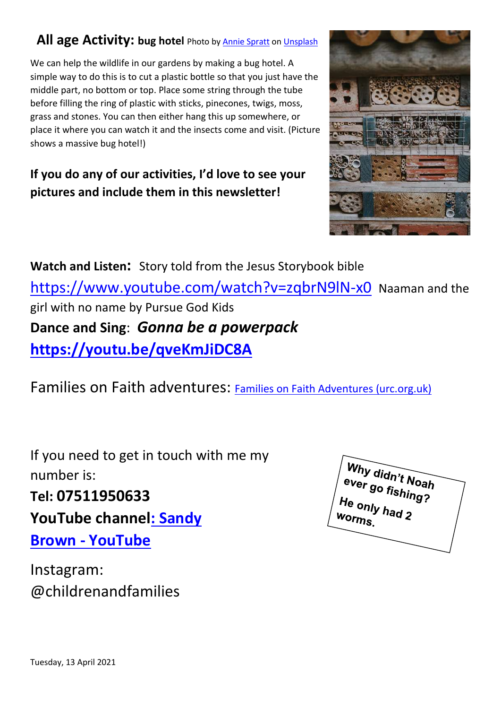### **All age Activity: bug hotel** Photo b[y Annie Spratt](https://unsplash.com/@anniespratt?utm_source=unsplash&utm_medium=referral&utm_content=creditCopyText) on [Unsplash](https://unsplash.com/s/photos/bug-hotel?utm_source=unsplash&utm_medium=referral&utm_content=creditCopyText)

We can help the wildlife in our gardens by making a bug hotel. A simple way to do this is to cut a plastic bottle so that you just have the middle part, no bottom or top. Place some string through the tube before filling the ring of plastic with sticks, pinecones, twigs, moss, grass and stones. You can then either hang this up somewhere, or place it where you can watch it and the insects come and visit. (Picture shows a massive bug hotel!)

### **If you do any of our activities, I'd love to see your pictures and include them in this newsletter!**



**Watch and Listen:** Story told from the Jesus Storybook bible <https://www.youtube.com/watch?v=zqbrN9lN-x0> Naaman and the girl with no name by Pursue God Kids **Dance and Sing**: *Gonna be a powerpack* **<https://youtu.be/qveKmJiDC8A>**

Families on Faith adventures: [Families on Faith Adventures \(urc.org.uk\)](https://urc.org.uk/families-on-faith-adventures)

If you need to get in touch with me my number is:

**Tel: 07511950633**

**YouTube channe[l: Sandy](https://www.youtube.com/channel/UCczXJ3IckAMTs3fhXEBjI_g)** 

**Brown - [YouTube](https://www.youtube.com/channel/UCczXJ3IckAMTs3fhXEBjI_g)**

Instagram: @childrenandfamilies

Why didn't Noah<br>ever go fishing?<br>He only L He only had 2<br>Worms had 2 Worms.

Tuesday, 13 April 2021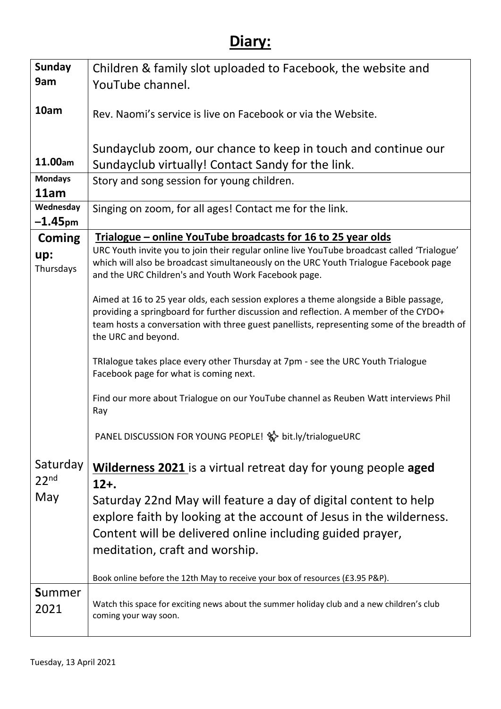# **Diary:**

| <b>Sunday</b>    | Children & family slot uploaded to Facebook, the website and                                                                                                                        |
|------------------|-------------------------------------------------------------------------------------------------------------------------------------------------------------------------------------|
| 9am              | YouTube channel.                                                                                                                                                                    |
|                  |                                                                                                                                                                                     |
| 10am             | Rev. Naomi's service is live on Facebook or via the Website.                                                                                                                        |
|                  |                                                                                                                                                                                     |
|                  | Sundayclub zoom, our chance to keep in touch and continue our                                                                                                                       |
| 11.00am          | Sundayclub virtually! Contact Sandy for the link.                                                                                                                                   |
| <b>Mondays</b>   | Story and song session for young children.                                                                                                                                          |
| 11am             |                                                                                                                                                                                     |
| Wednesday        | Singing on zoom, for all ages! Contact me for the link.                                                                                                                             |
| $-1.45$ pm       |                                                                                                                                                                                     |
| <b>Coming</b>    | Trialogue – online YouTube broadcasts for 16 to 25 year olds                                                                                                                        |
| up:              | URC Youth invite you to join their regular online live YouTube broadcast called 'Trialogue'<br>which will also be broadcast simultaneously on the URC Youth Trialogue Facebook page |
| Thursdays        | and the URC Children's and Youth Work Facebook page.                                                                                                                                |
|                  |                                                                                                                                                                                     |
|                  | Aimed at 16 to 25 year olds, each session explores a theme alongside a Bible passage,                                                                                               |
|                  | providing a springboard for further discussion and reflection. A member of the CYDO+                                                                                                |
|                  | team hosts a conversation with three guest panellists, representing some of the breadth of<br>the URC and beyond.                                                                   |
|                  |                                                                                                                                                                                     |
|                  | TRIalogue takes place every other Thursday at 7pm - see the URC Youth Trialogue                                                                                                     |
|                  | Facebook page for what is coming next.                                                                                                                                              |
|                  | Find our more about Trialogue on our YouTube channel as Reuben Watt interviews Phil                                                                                                 |
|                  | Ray                                                                                                                                                                                 |
|                  |                                                                                                                                                                                     |
|                  | PANEL DISCUSSION FOR YOUNG PEOPLE! %> bit.ly/trialogueURC                                                                                                                           |
|                  |                                                                                                                                                                                     |
| Saturday         | <b>Wilderness 2021</b> is a virtual retreat day for young people aged                                                                                                               |
| 22 <sup>nd</sup> | $12 + .$                                                                                                                                                                            |
| May              | Saturday 22nd May will feature a day of digital content to help                                                                                                                     |
|                  | explore faith by looking at the account of Jesus in the wilderness.                                                                                                                 |
|                  | Content will be delivered online including guided prayer,                                                                                                                           |
|                  | meditation, craft and worship.                                                                                                                                                      |
|                  |                                                                                                                                                                                     |
|                  | Book online before the 12th May to receive your box of resources (£3.95 P&P).                                                                                                       |
| <b>Summer</b>    |                                                                                                                                                                                     |
| 2021             | Watch this space for exciting news about the summer holiday club and a new children's club<br>coming your way soon.                                                                 |
|                  |                                                                                                                                                                                     |
|                  |                                                                                                                                                                                     |